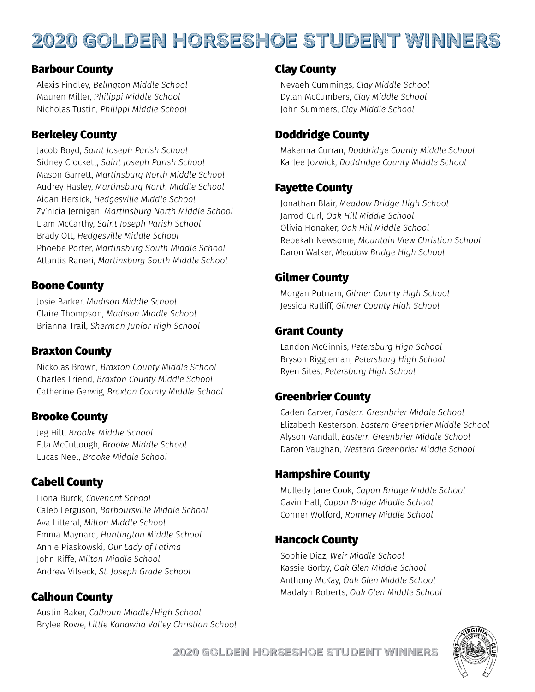# 2020 Golden Horseshoe Student Winners

#### Barbour County

Alexis Findley, *Belington Middle School* Mauren Miller, *Philippi Middle School* Nicholas Tustin, *Philippi Middle School*

### Berkeley County

Jacob Boyd, *Saint Joseph Parish School* Sidney Crockett, *Saint Joseph Parish School* Mason Garrett, *Martinsburg North Middle School* Audrey Hasley, *Martinsburg North Middle School* Aidan Hersick, *Hedgesville Middle School* Zy'nicia Jernigan, *Martinsburg North Middle School* Liam McCarthy, *Saint Joseph Parish School* Brady Ott, *Hedgesville Middle School* Phoebe Porter, *Martinsburg South Middle School* Atlantis Raneri, *Martinsburg South Middle School*

#### Boone County

Josie Barker, *Madison Middle School* Claire Thompson, *Madison Middle School* Brianna Trail, *Sherman Junior High School*

#### Braxton County

Nickolas Brown, *Braxton County Middle School* Charles Friend, *Braxton County Middle School* Catherine Gerwig, *Braxton County Middle School*

#### Brooke County

Jeg Hilt, *Brooke Middle School* Ella McCullough, *Brooke Middle School* Lucas Neel, *Brooke Middle School*

#### Cabell County

Fiona Burck, *Covenant School* Caleb Ferguson, *Barboursville Middle School* Ava Litteral, *Milton Middle School* Emma Maynard, *Huntington Middle School* Annie Piaskowski, *Our Lady of Fatima* John Riffe, *Milton Middle School* Andrew Vilseck, *St. Joseph Grade School*

#### Calhoun County

Austin Baker, *Calhoun Middle/High School* Brylee Rowe, *Little Kanawha Valley Christian School*

#### Clay County

Nevaeh Cummings, *Clay Middle School* Dylan McCumbers, *Clay Middle School* John Summers, *Clay Middle School*

### Doddridge County

Makenna Curran, *Doddridge County Middle School* Karlee Jozwick, *Doddridge County Middle School*

#### Fayette County

Jonathan Blair, *Meadow Bridge High School* Jarrod Curl, *Oak Hill Middle School* Olivia Honaker, *Oak Hill Middle School* Rebekah Newsome, *Mountain View Christian School* Daron Walker, *Meadow Bridge High School*

### Gilmer County

Morgan Putnam, *Gilmer County High School* Jessica Ratliff, *Gilmer County High School*

#### Grant County

Landon McGinnis, *Petersburg High School* Bryson Riggleman, *Petersburg High School* Ryen Sites, *Petersburg High School*

#### Greenbrier County

Caden Carver, *Eastern Greenbrier Middle School* Elizabeth Kesterson, *Eastern Greenbrier Middle School* Alyson Vandall, *Eastern Greenbrier Middle School* Daron Vaughan, *Western Greenbrier Middle School*

#### Hampshire County

Mulledy Jane Cook, *Capon Bridge Middle School* Gavin Hall, *Capon Bridge Middle School* Conner Wolford, *Romney Middle School*

#### Hancock County

Sophie Diaz, *Weir Middle School* Kassie Gorby, *Oak Glen Middle School* Anthony McKay, *Oak Glen Middle School* Madalyn Roberts, *Oak Glen Middle School*



2020 Golden Horseshoe Student Winners **B**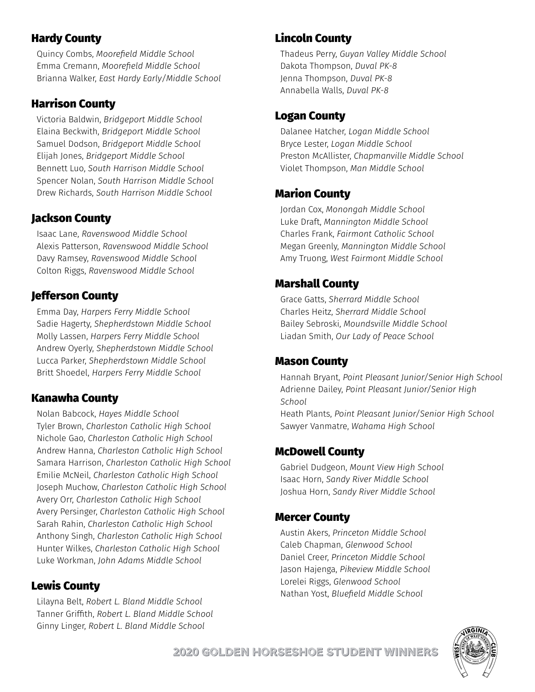## Hardy County

Quincy Combs, *Moorefield Middle School* Emma Cremann, *Moorefield Middle School* Brianna Walker, *East Hardy Early/Middle School*

# Harrison County

Victoria Baldwin, *Bridgeport Middle School* Elaina Beckwith, *Bridgeport Middle School* Samuel Dodson, *Bridgeport Middle School* Elijah Jones, *Bridgeport Middle School* Bennett Luo, *South Harrison Middle School* Spencer Nolan, *South Harrison Middle School* Drew Richards, *South Harrison Middle School*

# Jackson County

Isaac Lane, *Ravenswood Middle School* Alexis Patterson, *Ravenswood Middle School* Davy Ramsey, *Ravenswood Middle School* Colton Riggs, *Ravenswood Middle School*

# Jefferson County

Emma Day, *Harpers Ferry Middle School* Sadie Hagerty, *Shepherdstown Middle School* Molly Lassen, *Harpers Ferry Middle School* Andrew Oyerly, *Shepherdstown Middle School* Lucca Parker, *Shepherdstown Middle School* Britt Shoedel, *Harpers Ferry Middle School*

# Kanawha County

Nolan Babcock, *Hayes Middle School* Tyler Brown, *Charleston Catholic High School* Nichole Gao, *Charleston Catholic High School* Andrew Hanna, *Charleston Catholic High School* Samara Harrison, *Charleston Catholic High School* Emilie McNeil, *Charleston Catholic High School* Joseph Muchow, *Charleston Catholic High School* Avery Orr, *Charleston Catholic High School* Avery Persinger, *Charleston Catholic High School* Sarah Rahin, *Charleston Catholic High School* Anthony Singh, *Charleston Catholic High School* Hunter Wilkes, *Charleston Catholic High School* Luke Workman, *John Adams Middle School*

# Lewis County

Lilayna Belt, *Robert L. Bland Middle School* Tanner Griffith, *Robert L. Bland Middle School* Ginny Linger, *Robert L. Bland Middle School*

# Lincoln County

Thadeus Perry, *Guyan Valley Middle School* Dakota Thompson, *Duval PK-8* Jenna Thompson, *Duval PK-8* Annabella Walls, *Duval PK-8*

### Logan County

Dalanee Hatcher, *Logan Middle School* Bryce Lester, *Logan Middle School* Preston McAllister, *Chapmanville Middle School* Violet Thompson, *Man Middle School*

# Marion County

Jordan Cox, *Monongah Middle School* Luke Draft, *Mannington Middle School* Charles Frank, *Fairmont Catholic School* Megan Greenly, *Mannington Middle School* Amy Truong, *West Fairmont Middle School*

# Marshall County

Grace Gatts, *Sherrard Middle School* Charles Heitz, *Sherrard Middle School* Bailey Sebroski, *Moundsville Middle School* Liadan Smith, *Our Lady of Peace School*

### Mason County

Hannah Bryant, *Point Pleasant Junior/Senior High School* Adrienne Dailey, *Point Pleasant Junior/Senior High School* Heath Plants, *Point Pleasant Junior/Senior High School* Sawyer Vanmatre, *Wahama High School*

### McDowell County

Gabriel Dudgeon, *Mount View High School* Isaac Horn, *Sandy River Middle School* Joshua Horn, *Sandy River Middle School*

### Mercer County

Austin Akers, *Princeton Middle School* Caleb Chapman, *Glenwood School* Daniel Creer, *Princeton Middle School* Jason Hajenga, *Pikeview Middle School* Lorelei Riggs, *Glenwood School* Nathan Yost, *Bluefield Middle School*

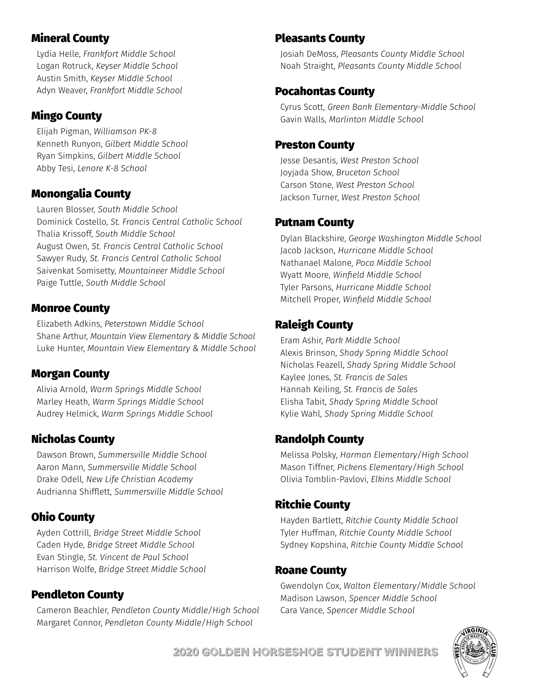### Mineral County

Lydia Helle, *Frankfort Middle School* Logan Rotruck, *Keyser Middle School* Austin Smith, *Keyser Middle School* Adyn Weaver, *Frankfort Middle School*

#### Mingo County

Elijah Pigman, *Williamson PK-8* Kenneth Runyon, *Gilbert Middle School* Ryan Simpkins, *Gilbert Middle School* Abby Tesi, *Lenore K-8 School*

#### Monongalia County

Lauren Blosser, *South Middle School* Dominick Costello, *St. Francis Central Catholic School* Thalia Krissoff, *South Middle School* August Owen, *St. Francis Central Catholic School* Sawyer Rudy, *St. Francis Central Catholic School* Saivenkat Somisetty, *Mountaineer Middle School* Paige Tuttle, *South Middle School*

#### Monroe County

Elizabeth Adkins, *Peterstown Middle School* Shane Arthur, *Mountain View Elementary & Middle School* Luke Hunter, *Mountain View Elementary & Middle School*

#### Morgan County

Alivia Arnold, *Warm Springs Middle School* Marley Heath, *Warm Springs Middle School* Audrey Helmick, *Warm Springs Middle School*

### Nicholas County

Dawson Brown, *Summersville Middle School* Aaron Mann, *Summersville Middle School* Drake Odell, *New Life Christian Academy* Audrianna Shifflett, *Summersville Middle School*

# Ohio County

Ayden Cottrill, *Bridge Street Middle School* Caden Hyde, *Bridge Street Middle School* Evan Stingle, *St. Vincent de Paul School* Harrison Wolfe, *Bridge Street Middle School*

### Pendleton County

Cameron Beachler, *Pendleton County Middle/High School* Margaret Connor, *Pendleton County Middle/High School*

#### Pleasants County

Josiah DeMoss, *Pleasants County Middle School* Noah Straight, *Pleasants County Middle School*

#### Pocahontas County

Cyrus Scott, *Green Bank Elementary-Middle School* Gavin Walls, *Marlinton Middle School*

#### Preston County

Jesse Desantis, *West Preston School* Joyjada Show, *Bruceton School* Carson Stone, *West Preston School* Jackson Turner, *West Preston School*

#### Putnam County

Dylan Blackshire, *George Washington Middle School* Jacob Jackson, *Hurricane Middle School* Nathanael Malone, *Poca Middle School* Wyatt Moore, *Winfield Middle School* Tyler Parsons, *Hurricane Middle School* Mitchell Proper, *Winfield Middle School*

# Raleigh County

Eram Ashir, *Park Middle School* Alexis Brinson, *Shady Spring Middle School* Nicholas Feazell, *Shady Spring Middle School* Kaylee Jones, *St. Francis de Sales* Hannah Keiling, *St. Francis de Sales* Elisha Tabit, *Shady Spring Middle School* Kylie Wahl, *Shady Spring Middle School*

#### Randolph County

Melissa Polsky, *Harman Elementary/High School* Mason Tiffner, *Pickens Elementary/High School* Olivia Tomblin-Pavlovi, *Elkins Middle School*

### Ritchie County

Hayden Bartlett, *Ritchie County Middle School* Tyler Huffman, *Ritchie County Middle School* Sydney Kopshina, *Ritchie County Middle School*

#### Roane County

Gwendolyn Cox, *Walton Elementary/Middle School* Madison Lawson, *Spencer Middle School* Cara Vance, *Spencer Middle School*



2020 Golden Horseshoe Student Winners **B**